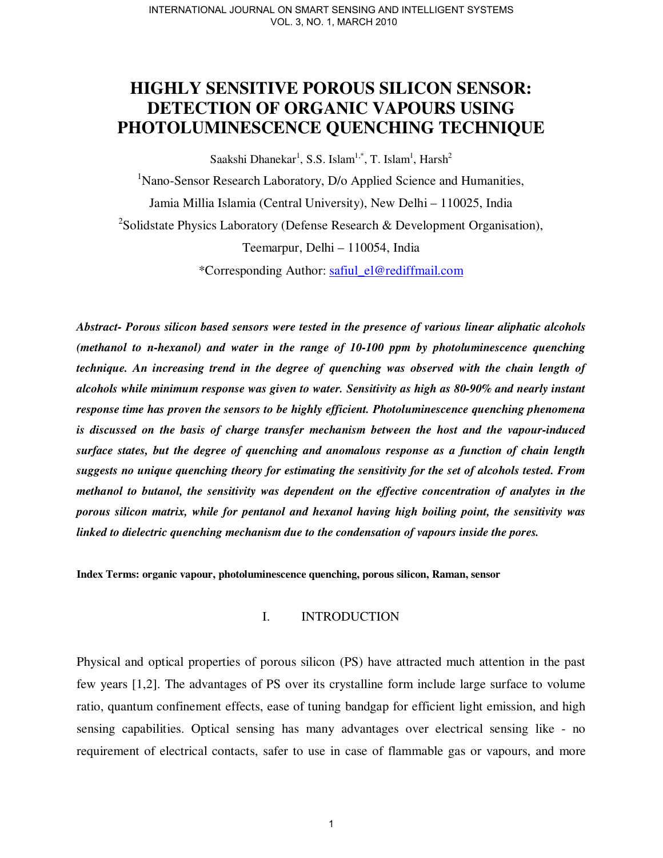# **HIGHLY SENSITIVE POROUS SILICON SENSOR: DETECTION OF ORGANIC VAPOURS USING PHOTOLUMINESCENCE QUENCHING TECHNIQUE**

Saakshi Dhanekar<sup>1</sup>, S.S. Islam<sup>1,\*</sup>, T. Islam<sup>1</sup>, Harsh<sup>2</sup>

<sup>1</sup>Nano-Sensor Research Laboratory, D/o Applied Science and Humanities, Jamia Millia Islamia (Central University), New Delhi – 110025, India <sup>2</sup>Solidstate Physics Laboratory (Defense Research & Development Organisation), Teemarpur, Delhi – 110054, India

\*Corresponding Author: safiul\_el@rediffmail.com

*Abstract- Porous silicon based sensors were tested in the presence of various linear aliphatic alcohols (methanol to n-hexanol) and water in the range of 10-100 ppm by photoluminescence quenching technique. An increasing trend in the degree of quenching was observed with the chain length of alcohols while minimum response was given to water. Sensitivity as high as 80-90% and nearly instant response time has proven the sensors to be highly efficient. Photoluminescence quenching phenomena is discussed on the basis of charge transfer mechanism between the host and the vapour-induced surface states, but the degree of quenching and anomalous response as a function of chain length suggests no unique quenching theory for estimating the sensitivity for the set of alcohols tested. From methanol to butanol, the sensitivity was dependent on the effective concentration of analytes in the porous silicon matrix, while for pentanol and hexanol having high boiling point, the sensitivity was linked to dielectric quenching mechanism due to the condensation of vapours inside the pores.* 

**Index Terms: organic vapour, photoluminescence quenching, porous silicon, Raman, sensor**

# I. INTRODUCTION

Physical and optical properties of porous silicon (PS) have attracted much attention in the past few years [1,2]. The advantages of PS over its crystalline form include large surface to volume ratio, quantum confinement effects, ease of tuning bandgap for efficient light emission, and high sensing capabilities. Optical sensing has many advantages over electrical sensing like - no requirement of electrical contacts, safer to use in case of flammable gas or vapours, and more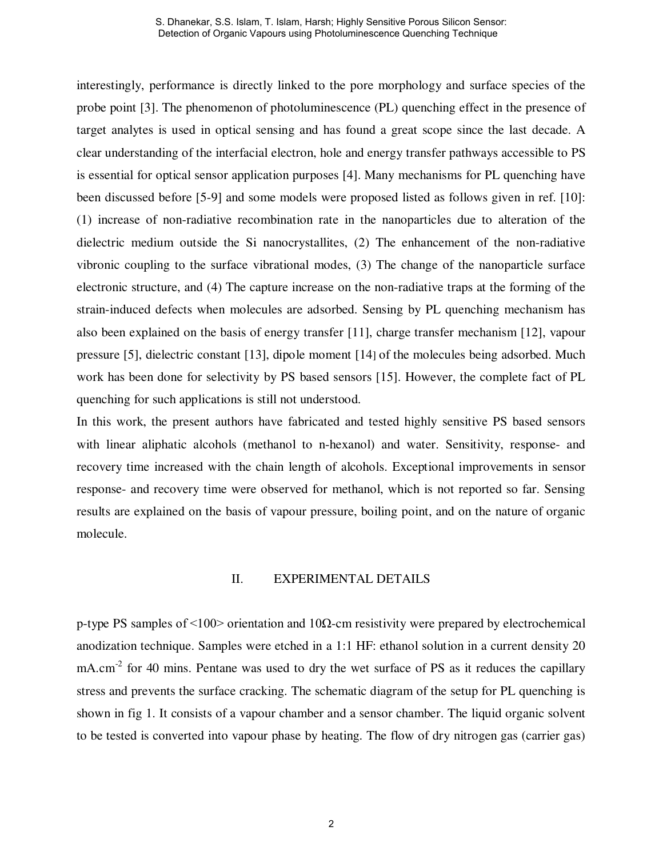interestingly, performance is directly linked to the pore morphology and surface species of the probe point [3]. The phenomenon of photoluminescence (PL) quenching effect in the presence of target analytes is used in optical sensing and has found a great scope since the last decade. A clear understanding of the interfacial electron, hole and energy transfer pathways accessible to PS is essential for optical sensor application purposes [4]. Many mechanisms for PL quenching have been discussed before [5-9] and some models were proposed listed as follows given in ref. [10]: (1) increase of non-radiative recombination rate in the nanoparticles due to alteration of the dielectric medium outside the Si nanocrystallites, (2) The enhancement of the non-radiative vibronic coupling to the surface vibrational modes, (3) The change of the nanoparticle surface electronic structure, and (4) The capture increase on the non-radiative traps at the forming of the strain-induced defects when molecules are adsorbed. Sensing by PL quenching mechanism has also been explained on the basis of energy transfer [11], charge transfer mechanism [12], vapour pressure [5], dielectric constant [13], dipole moment [14] of the molecules being adsorbed. Much work has been done for selectivity by PS based sensors [15]. However, the complete fact of PL quenching for such applications is still not understood.

In this work, the present authors have fabricated and tested highly sensitive PS based sensors with linear aliphatic alcohols (methanol to n-hexanol) and water. Sensitivity, response- and recovery time increased with the chain length of alcohols. Exceptional improvements in sensor response- and recovery time were observed for methanol, which is not reported so far. Sensing results are explained on the basis of vapour pressure, boiling point, and on the nature of organic molecule.

### II. EXPERIMENTAL DETAILS

p-type PS samples of  $\leq 100$  orientation and 10Ω-cm resistivity were prepared by electrochemical anodization technique. Samples were etched in a 1:1 HF: ethanol solution in a current density 20 mA.cm<sup>-2</sup> for 40 mins. Pentane was used to dry the wet surface of PS as it reduces the capillary stress and prevents the surface cracking. The schematic diagram of the setup for PL quenching is shown in fig 1. It consists of a vapour chamber and a sensor chamber. The liquid organic solvent to be tested is converted into vapour phase by heating. The flow of dry nitrogen gas (carrier gas)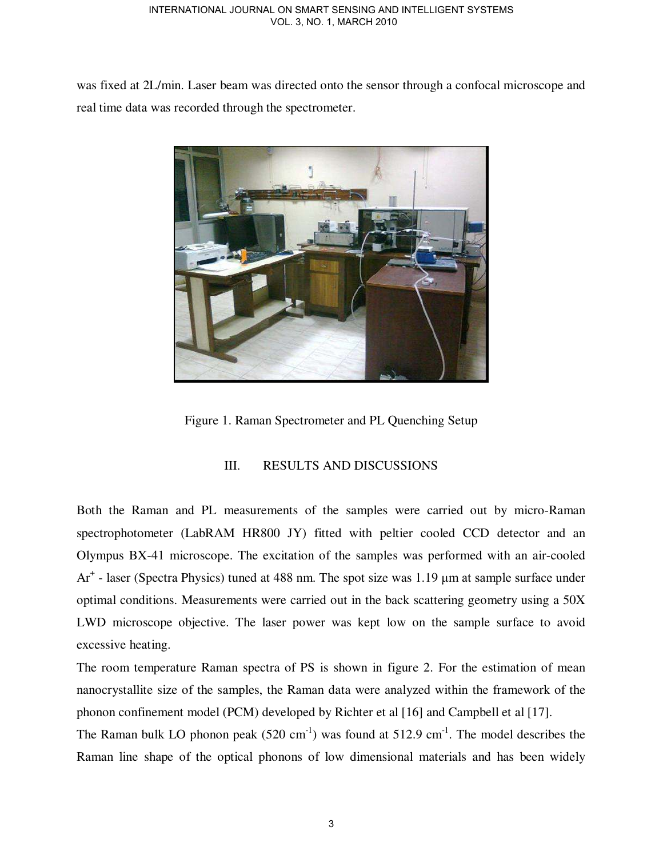was fixed at 2L/min. Laser beam was directed onto the sensor through a confocal microscope and real time data was recorded through the spectrometer.



Figure 1. Raman Spectrometer and PL Quenching Setup

# III. RESULTS AND DISCUSSIONS

Both the Raman and PL measurements of the samples were carried out by micro-Raman spectrophotometer (LabRAM HR800 JY) fitted with peltier cooled CCD detector and an Olympus BX-41 microscope. The excitation of the samples was performed with an air-cooled Ar<sup>+</sup> - laser (Spectra Physics) tuned at 488 nm. The spot size was 1.19 μm at sample surface under optimal conditions. Measurements were carried out in the back scattering geometry using a 50X LWD microscope objective. The laser power was kept low on the sample surface to avoid excessive heating.

The room temperature Raman spectra of PS is shown in figure 2. For the estimation of mean nanocrystallite size of the samples, the Raman data were analyzed within the framework of the phonon confinement model (PCM) developed by Richter et al [16] and Campbell et al [17].

The Raman bulk LO phonon peak  $(520 \text{ cm}^{-1})$  was found at  $512.9 \text{ cm}^{-1}$ . The model describes the Raman line shape of the optical phonons of low dimensional materials and has been widely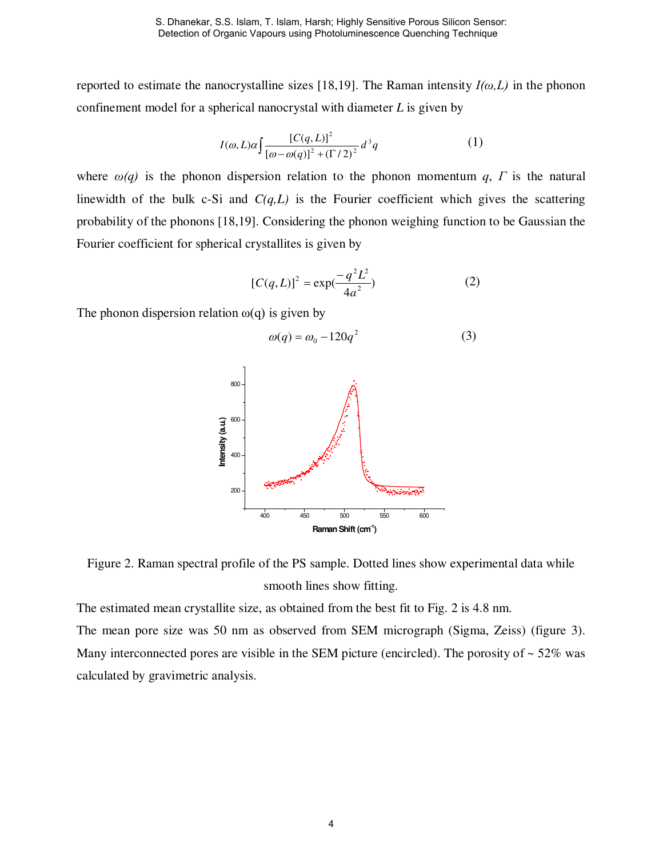reported to estimate the nanocrystalline sizes [18,19]. The Raman intensity  $I(\omega,L)$  in the phonon confinement model for a spherical nanocrystal with diameter *L* is given by

$$
I(\omega, L)\alpha \int \frac{[C(q, L)]^2}{[\omega - \omega(q)]^2 + (\Gamma/2)^2} d^3q \tag{1}
$$

where  $\omega(q)$  is the phonon dispersion relation to the phonon momentum *q*, *Γ* is the natural linewidth of the bulk c-Si and  $C(q, L)$  is the Fourier coefficient which gives the scattering probability of the phonons [18,19]. Considering the phonon weighing function to be Gaussian the Fourier coefficient for spherical crystallites is given by

$$
[C(q, L)]^2 = \exp(\frac{-q^2 L^2}{4a^2})
$$
 (2)

The phonon dispersion relation  $\omega(q)$  is given by

$$
\omega(q) = \omega_0 - 120q^2 \tag{3}
$$



Figure 2. Raman spectral profile of the PS sample. Dotted lines show experimental data while smooth lines show fitting.

The estimated mean crystallite size, as obtained from the best fit to Fig. 2 is 4.8 nm.

The mean pore size was 50 nm as observed from SEM micrograph (Sigma, Zeiss) (figure 3). Many interconnected pores are visible in the SEM picture (encircled). The porosity of  $\sim$  52% was calculated by gravimetric analysis.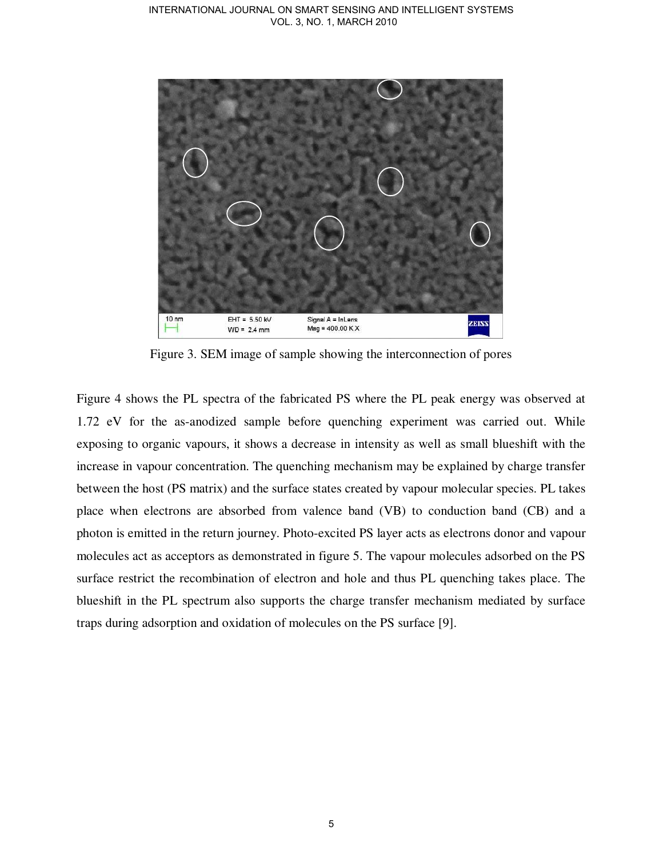

Figure 3. SEM image of sample showing the interconnection of pores

Figure 4 shows the PL spectra of the fabricated PS where the PL peak energy was observed at 1.72 eV for the as-anodized sample before quenching experiment was carried out. While exposing to organic vapours, it shows a decrease in intensity as well as small blueshift with the increase in vapour concentration. The quenching mechanism may be explained by charge transfer between the host (PS matrix) and the surface states created by vapour molecular species. PL takes place when electrons are absorbed from valence band (VB) to conduction band (CB) and a photon is emitted in the return journey. Photo-excited PS layer acts as electrons donor and vapour molecules act as acceptors as demonstrated in figure 5. The vapour molecules adsorbed on the PS surface restrict the recombination of electron and hole and thus PL quenching takes place. The blueshift in the PL spectrum also supports the charge transfer mechanism mediated by surface traps during adsorption and oxidation of molecules on the PS surface [9].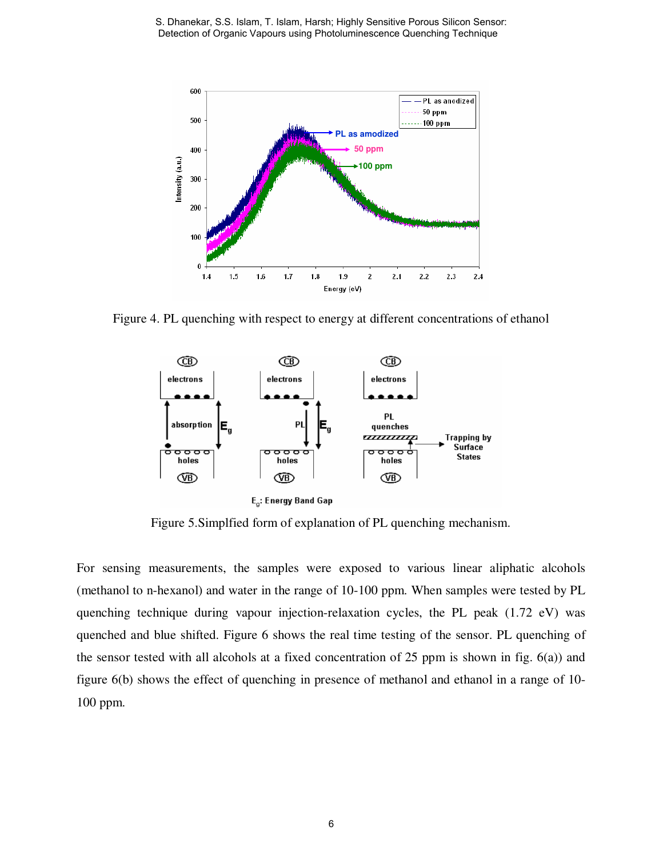S. Dhanekar, S.S. Islam, T. Islam, Harsh; Highly Sensitive Porous Silicon Sensor: Detection of Organic Vapours using Photoluminescence Quenching Technique



Figure 4. PL quenching with respect to energy at different concentrations of ethanol



Figure 5.Simplfied form of explanation of PL quenching mechanism.

For sensing measurements, the samples were exposed to various linear aliphatic alcohols (methanol to n-hexanol) and water in the range of 10-100 ppm. When samples were tested by PL quenching technique during vapour injection-relaxation cycles, the PL peak (1.72 eV) was quenched and blue shifted. Figure 6 shows the real time testing of the sensor. PL quenching of the sensor tested with all alcohols at a fixed concentration of 25 ppm is shown in fig. 6(a)) and figure 6(b) shows the effect of quenching in presence of methanol and ethanol in a range of 10- 100 ppm.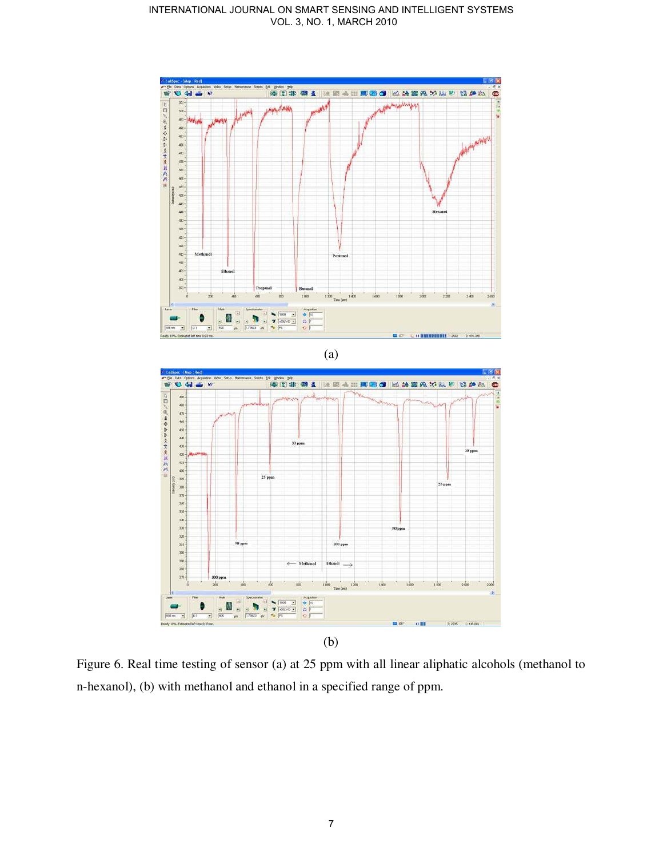#### INTERNATIONAL JOURNAL ON SMART SENSING AND INTELLIGENT SYSTEMS VOL. 3, NO. 1, MARCH 2010



Figure 6. Real time testing of sensor (a) at 25 ppm with all linear aliphatic alcohols (methanol to n-hexanol), (b) with methanol and ethanol in a specified range of ppm.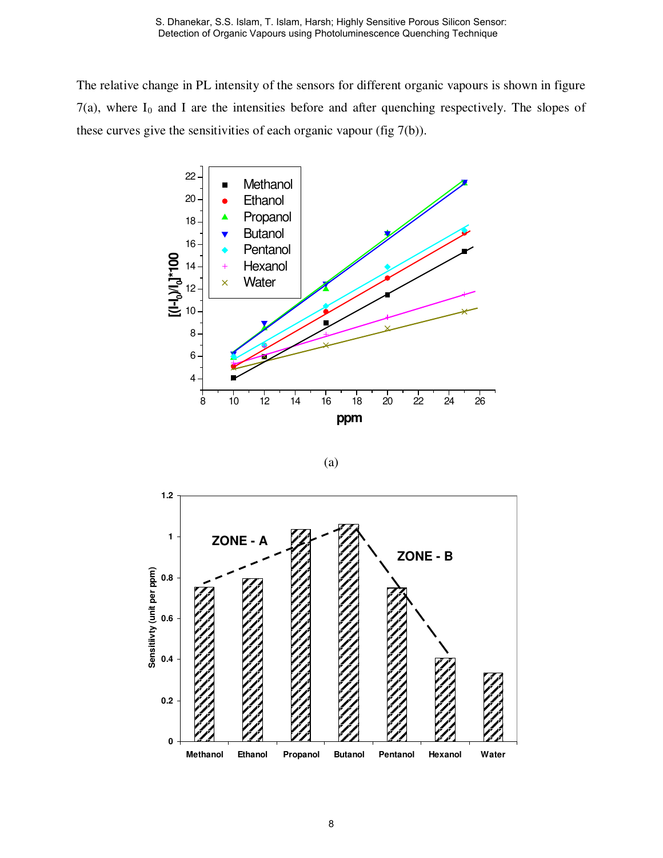The relative change in PL intensity of the sensors for different organic vapours is shown in figure  $7(a)$ , where  $I_0$  and I are the intensities before and after quenching respectively. The slopes of these curves give the sensitivities of each organic vapour (fig 7(b)).



(a)

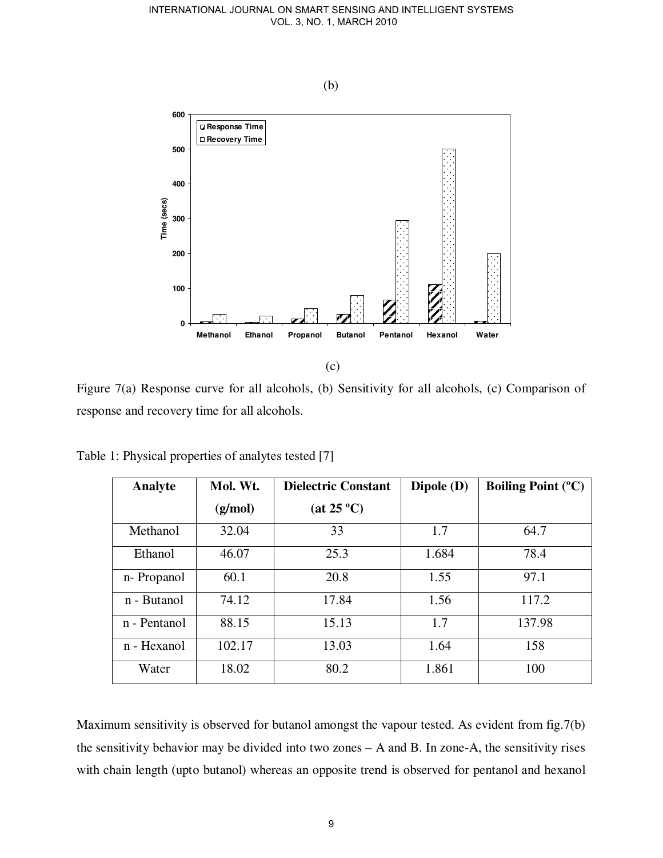

Figure 7(a) Response curve for all alcohols, (b) Sensitivity for all alcohols, (c) Comparison of response and recovery time for all alcohols.

| Analyte      | Mol. Wt. | <b>Dielectric Constant</b> | Dipole (D) | <b>Boiling Point (°C)</b> |
|--------------|----------|----------------------------|------------|---------------------------|
|              | (g/mol)  | (at 25 °C)                 |            |                           |
| Methanol     | 32.04    | 33                         | 1.7        | 64.7                      |
| Ethanol      | 46.07    | 25.3                       | 1.684      | 78.4                      |
| n-Propanol   | 60.1     | 20.8                       | 1.55       | 97.1                      |
| n - Butanol  | 74.12    | 17.84                      | 1.56       | 117.2                     |
| n - Pentanol | 88.15    | 15.13                      | 1.7        | 137.98                    |
| n - Hexanol  | 102.17   | 13.03                      | 1.64       | 158                       |
| Water        | 18.02    | 80.2                       | 1.861      | 100                       |

Table 1: Physical properties of analytes tested [7]

Maximum sensitivity is observed for butanol amongst the vapour tested. As evident from fig.7(b) the sensitivity behavior may be divided into two zones – A and B. In zone-A, the sensitivity rises with chain length (upto butanol) whereas an opposite trend is observed for pentanol and hexanol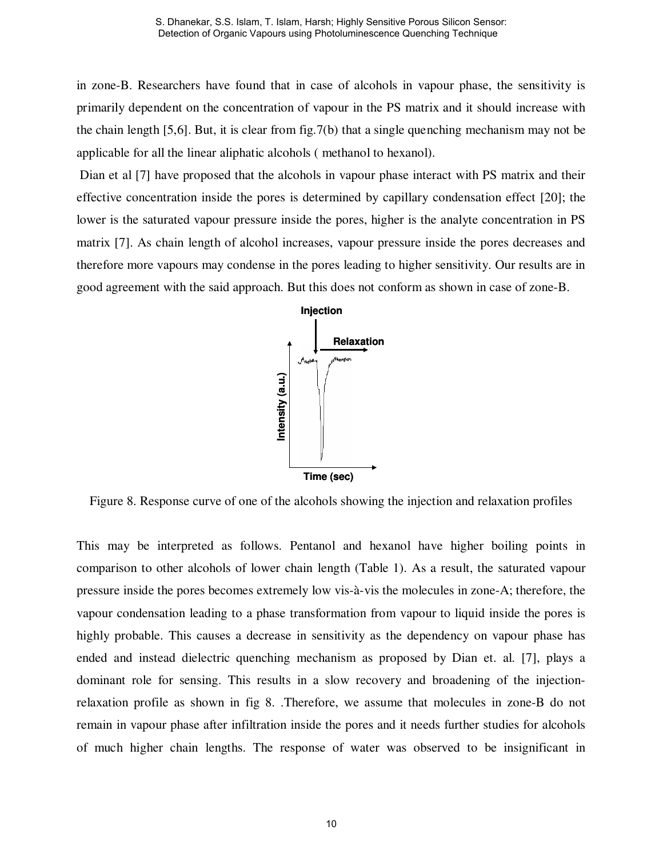in zone-B. Researchers have found that in case of alcohols in vapour phase, the sensitivity is primarily dependent on the concentration of vapour in the PS matrix and it should increase with the chain length [5,6]. But, it is clear from fig.7(b) that a single quenching mechanism may not be applicable for all the linear aliphatic alcohols ( methanol to hexanol).

Dian et al [7] have proposed that the alcohols in vapour phase interact with PS matrix and their effective concentration inside the pores is determined by capillary condensation effect [20]; the lower is the saturated vapour pressure inside the pores, higher is the analyte concentration in PS matrix [7]. As chain length of alcohol increases, vapour pressure inside the pores decreases and therefore more vapours may condense in the pores leading to higher sensitivity. Our results are in good agreement with the said approach. But this does not conform as shown in case of zone-B.



Figure 8. Response curve of one of the alcohols showing the injection and relaxation profiles

This may be interpreted as follows. Pentanol and hexanol have higher boiling points in comparison to other alcohols of lower chain length (Table 1). As a result, the saturated vapour pressure inside the pores becomes extremely low vis-à-vis the molecules in zone-A; therefore, the vapour condensation leading to a phase transformation from vapour to liquid inside the pores is highly probable. This causes a decrease in sensitivity as the dependency on vapour phase has ended and instead dielectric quenching mechanism as proposed by Dian et. al. [7], plays a dominant role for sensing. This results in a slow recovery and broadening of the injectionrelaxation profile as shown in fig 8. .Therefore, we assume that molecules in zone-B do not remain in vapour phase after infiltration inside the pores and it needs further studies for alcohols of much higher chain lengths. The response of water was observed to be insignificant in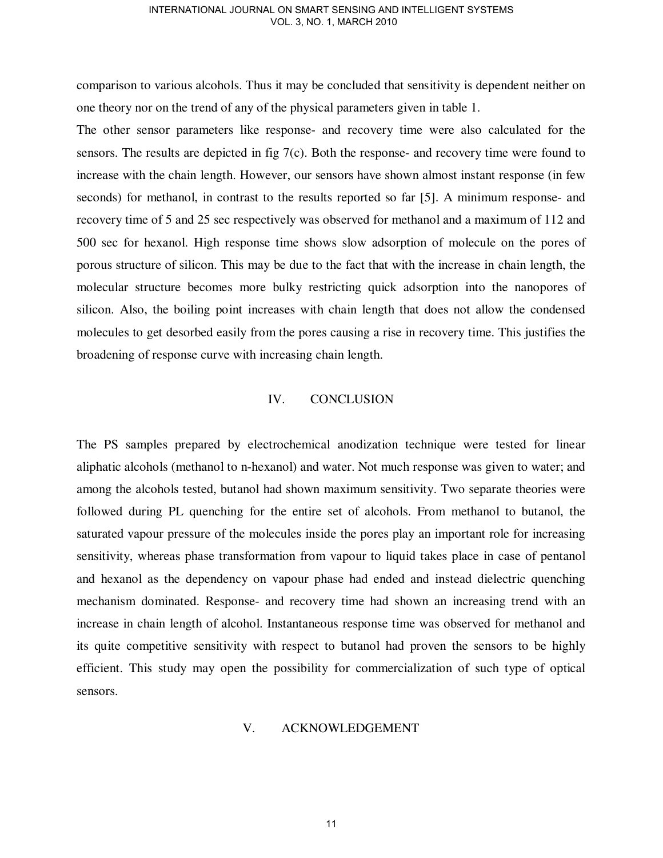comparison to various alcohols. Thus it may be concluded that sensitivity is dependent neither on one theory nor on the trend of any of the physical parameters given in table 1.

The other sensor parameters like response- and recovery time were also calculated for the sensors. The results are depicted in fig 7(c). Both the response- and recovery time were found to increase with the chain length. However, our sensors have shown almost instant response (in few seconds) for methanol, in contrast to the results reported so far [5]. A minimum response- and recovery time of 5 and 25 sec respectively was observed for methanol and a maximum of 112 and 500 sec for hexanol. High response time shows slow adsorption of molecule on the pores of porous structure of silicon. This may be due to the fact that with the increase in chain length, the molecular structure becomes more bulky restricting quick adsorption into the nanopores of silicon. Also, the boiling point increases with chain length that does not allow the condensed molecules to get desorbed easily from the pores causing a rise in recovery time. This justifies the broadening of response curve with increasing chain length.

# IV. CONCLUSION

The PS samples prepared by electrochemical anodization technique were tested for linear aliphatic alcohols (methanol to n-hexanol) and water. Not much response was given to water; and among the alcohols tested, butanol had shown maximum sensitivity. Two separate theories were followed during PL quenching for the entire set of alcohols. From methanol to butanol, the saturated vapour pressure of the molecules inside the pores play an important role for increasing sensitivity, whereas phase transformation from vapour to liquid takes place in case of pentanol and hexanol as the dependency on vapour phase had ended and instead dielectric quenching mechanism dominated. Response- and recovery time had shown an increasing trend with an increase in chain length of alcohol. Instantaneous response time was observed for methanol and its quite competitive sensitivity with respect to butanol had proven the sensors to be highly efficient. This study may open the possibility for commercialization of such type of optical sensors.

## V. ACKNOWLEDGEMENT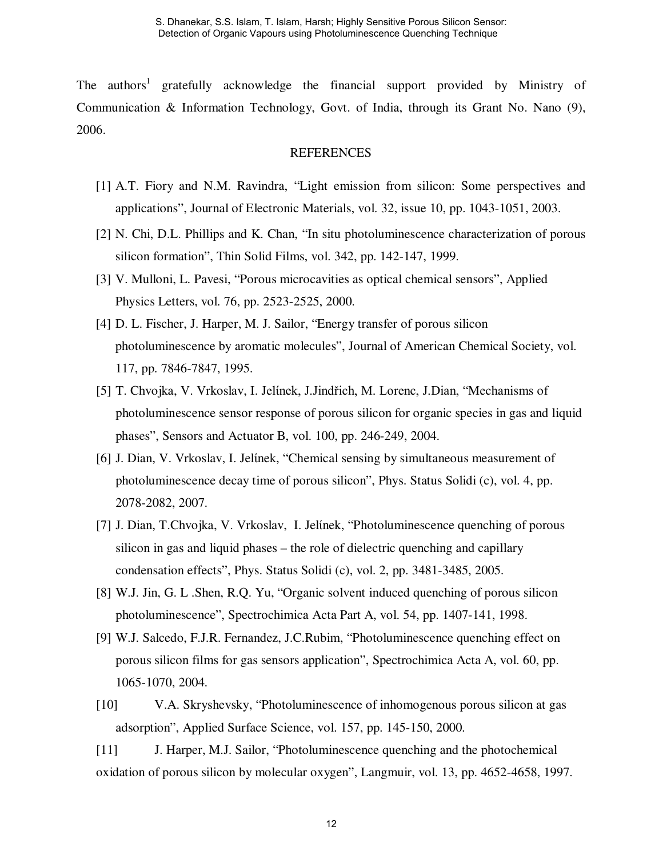The authors<sup>1</sup> gratefully acknowledge the financial support provided by Ministry of Communication & Information Technology, Govt. of India, through its Grant No. Nano (9), 2006.

## **REFERENCES**

- [1] A.T. Fiory and N.M. Ravindra, "Light emission from silicon: Some perspectives and applications", Journal of Electronic Materials, vol. 32, issue 10, pp. 1043-1051, 2003.
- [2] N. Chi, D.L. Phillips and K. Chan, "In situ photoluminescence characterization of porous silicon formation", Thin Solid Films, vol. 342, pp. 142-147, 1999.
- [3] V. Mulloni, L. Pavesi, "Porous microcavities as optical chemical sensors", Applied Physics Letters, vol. 76, pp. 2523-2525, 2000.
- [4] D. L. Fischer, J. Harper, M. J. Sailor, "Energy transfer of porous silicon photoluminescence by aromatic molecules", Journal of American Chemical Society, vol. 117, pp. 7846-7847, 1995.
- [5] T. Chvojka, V. Vrkoslav, I. Jelίnek, J.Jindřich, M. Lorenc, J.Dian, "Mechanisms of photoluminescence sensor response of porous silicon for organic species in gas and liquid phases", Sensors and Actuator B, vol. 100, pp. 246-249, 2004.
- [6] J. Dian, V. Vrkoslav, I. Jelίnek, "Chemical sensing by simultaneous measurement of photoluminescence decay time of porous silicon", Phys. Status Solidi (c), vol. 4, pp. 2078-2082, 2007.
- [7] J. Dian, T.Chvojka, V. Vrkoslav, I. Jelínek, "Photoluminescence quenching of porous silicon in gas and liquid phases – the role of dielectric quenching and capillary condensation effects", Phys. Status Solidi (c), vol. 2, pp. 3481-3485, 2005.
- [8] W.J. Jin, G. L .Shen, R.Q. Yu, "Organic solvent induced quenching of porous silicon photoluminescence", Spectrochimica Acta Part A, vol. 54, pp. 1407-141, 1998.
- [9] W.J. Salcedo, F.J.R. Fernandez, J.C.Rubim, "Photoluminescence quenching effect on porous silicon films for gas sensors application", Spectrochimica Acta A, vol. 60, pp. 1065-1070, 2004.
- [10] V.A. Skryshevsky, "Photoluminescence of inhomogenous porous silicon at gas adsorption", Applied Surface Science, vol. 157, pp. 145-150, 2000.

[11] J. Harper, M.J. Sailor, "Photoluminescence quenching and the photochemical oxidation of porous silicon by molecular oxygen", Langmuir, vol. 13, pp. 4652-4658, 1997.